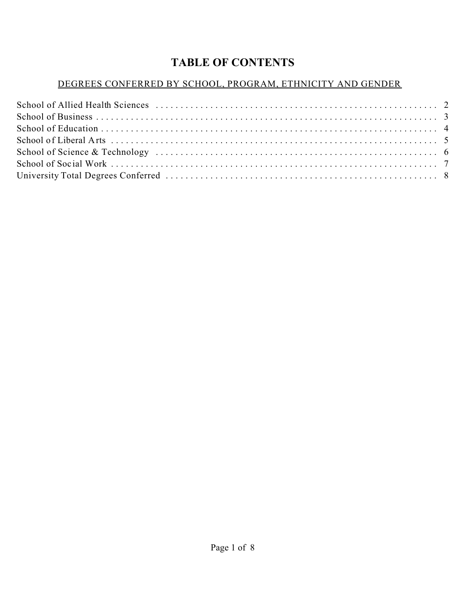# **TABLE OF CONTENTS**

# DEGREES CONFERRED BY SCHOOL, PROGRAM, ETHNICITY AND GENDER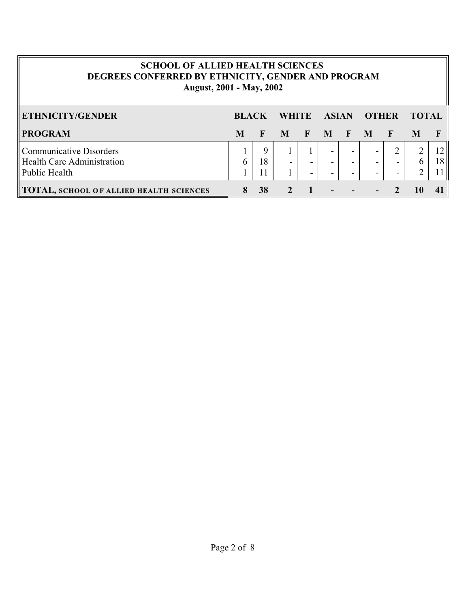# **SCHOOL OF ALLIED HEALTH SCIENCES DEGREES CONFERRED BY ETHNICITY, GENDER AND PROGRAM August, 2001 - May, 2002**

| <b>ETHNICITY/GENDER</b>                                                              | <b>BLACK</b> |         | <b>WHITE</b>   |             | <b>ASIAN</b>                                                   |                | <b>OTHER</b>                                                           |             | <b>TOTAL</b>       |                 |
|--------------------------------------------------------------------------------------|--------------|---------|----------------|-------------|----------------------------------------------------------------|----------------|------------------------------------------------------------------------|-------------|--------------------|-----------------|
| <b>PROGRAM</b>                                                                       | M            | F       | M              | $\mathbf F$ | M                                                              | F M            |                                                                        | $\mathbf F$ | M                  |                 |
| <b>Communicative Disorders</b><br><b>Health Care Administration</b><br>Public Health |              | Q<br>18 | $\blacksquare$ |             | $\overline{\phantom{0}}$<br>$\sim$<br>$\overline{\phantom{a}}$ | ۰.<br>۰.<br>۰. | $\overline{\phantom{a}}$<br>$\overline{\phantom{a}}$<br>$\blacksquare$ | $\sim$      | 6<br>$\mathcal{D}$ | 18 <sup>1</sup> |
| <b>TOTAL, SCHOOL OF ALLIED HEALTH SCIENCES</b>                                       |              | 38      |                |             | $\blacksquare$                                                 | $\blacksquare$ | $\blacksquare$                                                         |             |                    |                 |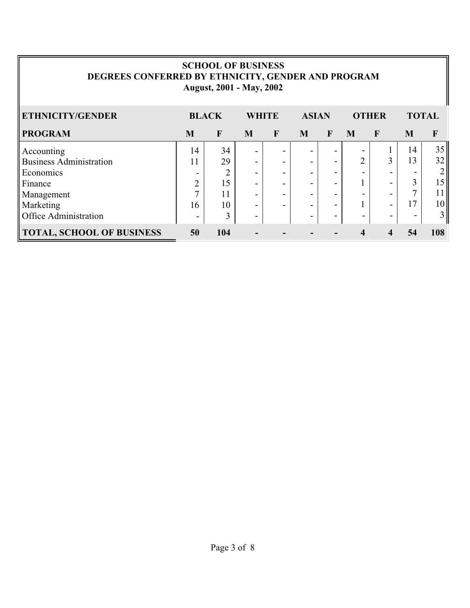### **SCHOOL OF BUSINESS DEGREES CONFERRED BY ETHNICITY, GENDER AND PROGRAM August, 2001 - May, 2002**

| ETHNICITY/GENDER                 |    | <b>BLACK</b><br><b>WHITE</b> |   |              | <b>ASIAN</b>             |              |                          | <b>OTHER</b> | <b>TOTAL</b> |                 |
|----------------------------------|----|------------------------------|---|--------------|--------------------------|--------------|--------------------------|--------------|--------------|-----------------|
| <b>PROGRAM</b>                   | M  | $\mathbf{F}$                 | M | $\mathbf{F}$ | M                        | $\mathbf{F}$ | M                        | F            | M            | $\mathbf{F}$    |
| Accounting                       | 14 | 34                           | - | -            |                          |              |                          |              | 14           | 35              |
| <b>Business Administration</b>   | 11 | 29                           | - | -            | -                        |              | ↑                        | 3            | 13           | 32 <sub>1</sub> |
| Economics                        | -  | ◠<br>∠                       |   | -            | -                        |              | -                        |              |              |                 |
| Finance                          | ◠  | 15                           | - | -            |                          |              |                          |              |              | 5               |
| Management                       | ⇁  | 11                           | - | -            | $\overline{\phantom{0}}$ |              |                          |              |              |                 |
| Marketing                        | 16 | 10                           | - | -            | -                        |              |                          |              | 17           | 10 <sub>l</sub> |
| <b>Office Administration</b>     |    | 3                            | - |              | -                        | -            | $\overline{\phantom{0}}$ |              |              | $\overline{3}$  |
| <b>TOTAL, SCHOOL OF BUSINESS</b> | 50 | 104                          |   |              |                          |              |                          |              | 54           | 108             |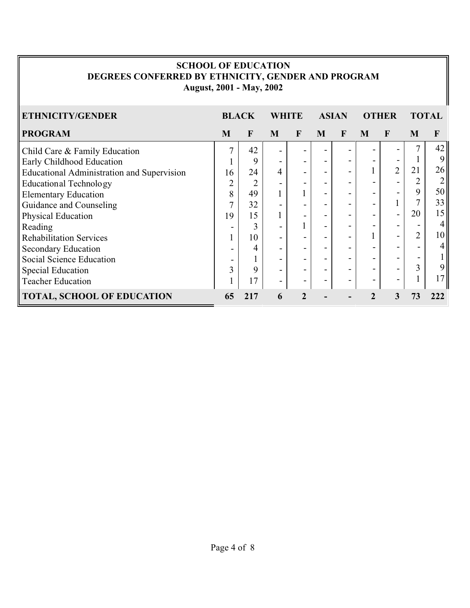#### **SCHOOL OF EDUCATION DEGREES CONFERRED BY ETHNICITY, GENDER AND PROGRAM August, 2001 - May, 2002**

| ETHNICITY/GENDER                                  | <b>BLACK</b> |                | WHITE                    |              | <b>ASIAN</b> |   | <b>OTHER</b> |                          | <b>TOTAL</b>   |                |
|---------------------------------------------------|--------------|----------------|--------------------------|--------------|--------------|---|--------------|--------------------------|----------------|----------------|
| <b>PROGRAM</b>                                    | M            | $\mathbf{F}$   | M                        | $\mathbf{F}$ | M            | F | M            | F                        | M              | $\mathbf{F}$   |
| Child Care & Family Education                     | 7            | 42             | $\overline{\phantom{0}}$ |              |              |   |              |                          | 7              | 42             |
| Early Childhood Education                         |              | 9              | $\overline{\phantom{0}}$ |              |              |   |              |                          |                | 9              |
| <b>Educational Administration and Supervision</b> | 16           | 24             | 4                        |              |              |   |              | $\overline{2}$           | 21             | 26             |
| <b>Educational Technology</b>                     | C            | $\overline{2}$ |                          |              |              |   |              |                          |                | 2              |
| <b>Elementary Education</b>                       | 8            | 49             |                          |              |              |   |              |                          | 9              | 50             |
| Guidance and Counseling                           |              | 32             |                          |              |              |   |              |                          |                | 33             |
| Physical Education                                | 19           | 15             |                          |              |              |   |              | $\overline{\phantom{0}}$ | 20             | 15             |
| Reading                                           |              | 3              |                          |              |              |   |              |                          |                | $\overline{4}$ |
| <b>Rehabilitation Services</b>                    |              | 10             |                          |              |              |   |              | $\overline{\phantom{0}}$ | $\overline{2}$ | 10             |
| Secondary Education                               |              | 4              |                          |              |              |   |              |                          |                | $\overline{4}$ |
| Social Science Education                          |              |                | $\overline{\phantom{a}}$ |              |              |   |              |                          |                |                |
| <b>Special Education</b>                          | 3            | 9              | $\overline{\phantom{0}}$ |              |              |   |              |                          | 3              | 9              |
| <b>Teacher Education</b>                          |              | 17             | $\overline{\phantom{a}}$ |              |              |   | -            | $\overline{\phantom{0}}$ |                | <sup>7</sup>   |
| <b>TOTAL, SCHOOL OF EDUCATION</b>                 | 65           | 217            | 6                        |              |              |   |              | 3                        | 73             | 222            |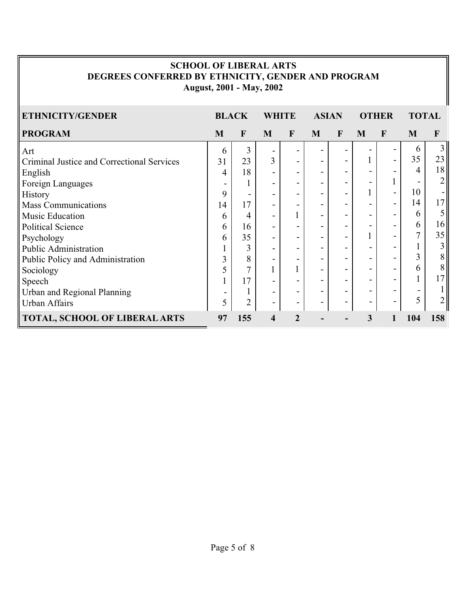#### **SCHOOL OF LIBERAL ARTS DEGREES CONFERRED BY ETHNICITY, GENDER AND PROGRAM August, 2001 - May, 2002**

| <b>ETHNICITY/GENDER</b>                    | <b>BLACK</b>             |                |                              | <b>WHITE</b>             |   | <b>ASIAN</b> | <b>OTHER</b> |              | <b>TOTAL</b> |                |
|--------------------------------------------|--------------------------|----------------|------------------------------|--------------------------|---|--------------|--------------|--------------|--------------|----------------|
| <b>PROGRAM</b>                             | M                        | F              | M                            | F                        | M | $\mathbf{F}$ | M            | $\mathbf{F}$ | M            | F              |
| Art                                        | 6                        | 3              | $\overline{\phantom{a}}$     |                          |   |              |              |              | 6            | 3              |
| Criminal Justice and Correctional Services | 31                       | 23             | 3                            | $\blacksquare$           |   |              |              |              | 35           | 23             |
| English                                    | 4                        | 18             | $\qquad \qquad \blacksquare$ |                          |   |              |              |              | 4            | 18             |
| Foreign Languages                          |                          | 1              | $\qquad \qquad \blacksquare$ | $\overline{\phantom{a}}$ |   |              |              |              |              | $\overline{2}$ |
| <b>History</b>                             | 9                        | -              | $\overline{\phantom{a}}$     | $\overline{\phantom{a}}$ |   |              |              |              | 10           | ۰.             |
| <b>Mass Communications</b>                 | 14                       | 17             | $\overline{\phantom{a}}$     | $\overline{\phantom{a}}$ |   |              |              | -            | 14           | 17             |
| Music Education                            | 6                        | 4              | $\overline{\phantom{a}}$     | 1                        |   |              | -            |              | 6            | 5              |
| <b>Political Science</b>                   | 6                        | 16             | $\blacksquare$               | $\overline{\phantom{a}}$ |   |              |              |              | 6            | 16             |
| Psychology                                 | 6                        | 35             | $\overline{\phantom{a}}$     |                          |   |              |              |              | 7            | 35             |
| Public Administration                      |                          | 3              | -                            | $\overline{\phantom{a}}$ |   |              |              |              |              | 3              |
| Public Policy and Administration           | 3                        | 8              | $\overline{\phantom{a}}$     | $\overline{\phantom{a}}$ |   |              |              |              | 3            | 8              |
| Sociology                                  | 5                        | 7              | $\mathbf{1}$                 |                          |   |              |              |              | 6            | 8              |
| Speech                                     |                          | 17             | -                            |                          |   |              |              | -            |              | 17             |
| Urban and Regional Planning                | $\overline{\phantom{a}}$ | 1              | $\overline{\phantom{a}}$     | $\overline{\phantom{a}}$ |   |              |              |              |              |                |
| <b>Urban Affairs</b>                       | 5                        | $\overline{2}$ | $\blacksquare$               | $\overline{\phantom{a}}$ |   |              |              |              | 5            | $\overline{2}$ |
| <b>TOTAL, SCHOOL OF LIBERAL ARTS</b>       | 97                       | 155            | 4                            | $\mathbf{2}$             |   |              | 3            |              | 104          | 158            |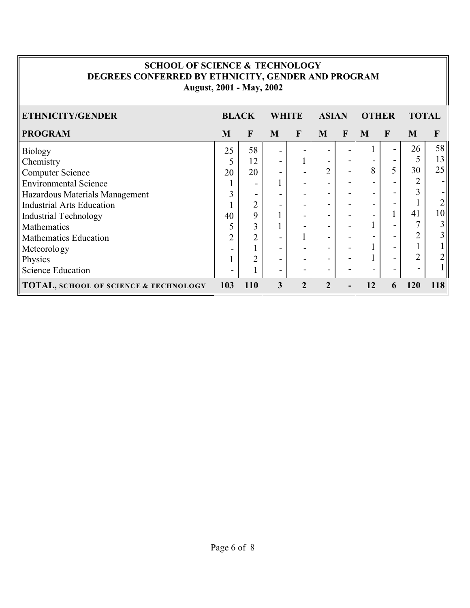# **SCHOOL OF SCIENCE & TECHNOLOGY DEGREES CONFERRED BY ETHNICITY, GENDER AND PROGRAM August, 2001 - May, 2002**

| ETHNICITY/GENDER                                 | <b>BLACK</b>   |                | WHITE                    |              | <b>ASIAN</b>             |             | <b>OTHER</b> |                | <b>TOTAL</b> |     |
|--------------------------------------------------|----------------|----------------|--------------------------|--------------|--------------------------|-------------|--------------|----------------|--------------|-----|
| <b>PROGRAM</b>                                   | M              | $\mathbf{F}$   | M                        | $\mathbf{F}$ | M                        | $\mathbf F$ | M            | F              | M            | F   |
| <b>Biology</b>                                   | 25             | 58             | $\overline{\phantom{a}}$ |              |                          |             |              | $\overline{a}$ | 26           | 58  |
| Chemistry                                        |                | 12             |                          |              | $\overline{\phantom{0}}$ |             |              |                |              | 13  |
| <b>Computer Science</b>                          | 20             | 20             |                          |              | 2                        |             | 8            |                | 30           | 25  |
| <b>Environmental Science</b>                     |                | -              |                          |              | -                        |             |              |                |              |     |
| Hazardous Materials Management                   | 3              |                |                          | -            | -                        |             |              |                |              |     |
| <b>Industrial Arts Education</b>                 |                | ↑              |                          |              | -                        |             |              |                |              |     |
| <b>Industrial Technology</b>                     | 40             | 9              |                          |              | -                        |             |              |                | 41           | 10  |
| Mathematics                                      |                | 3              |                          |              | -                        |             |              |                |              | 3   |
| <b>Mathematics Education</b>                     | $\overline{2}$ | $\overline{2}$ | $\overline{\phantom{0}}$ |              | -                        |             |              |                |              |     |
| Meteorology                                      |                |                |                          | -            | -                        |             |              | -              |              |     |
| Physics                                          |                | ↑              |                          |              | -                        |             |              |                | າ            |     |
| <b>Science Education</b>                         |                |                | $\overline{\phantom{a}}$ | $\,$         | -                        |             |              |                |              |     |
| <b>TOTAL, SCHOOL OF SCIENCE &amp; TECHNOLOGY</b> | 103            | <b>110</b>     | 3                        | 2            | $\mathbf 2$              |             | 12           | 6              | 120          | 118 |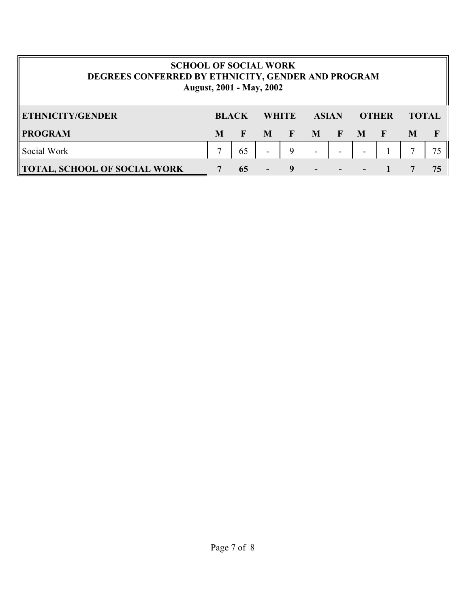| <b>SCHOOL OF SOCIAL WORK</b><br>DEGREES CONFERRED BY ETHNICITY, GENDER AND PROGRAM<br><b>August, 2001 - May, 2002</b> |   |              |                          |              |                          |              |                          |              |              |    |
|-----------------------------------------------------------------------------------------------------------------------|---|--------------|--------------------------|--------------|--------------------------|--------------|--------------------------|--------------|--------------|----|
| <b>ETHNICITY/GENDER</b>                                                                                               |   | <b>BLACK</b> | <b>WHITE</b>             |              | <b>ASIAN</b>             |              | <b>OTHER</b>             |              | <b>TOTAL</b> |    |
| <b>PROGRAM</b>                                                                                                        | M | F            | M                        | $\mathbf{F}$ | M                        | $\mathbf{F}$ | $\mathbf{M}$             | $\mathbf{F}$ | M            |    |
| Social Work                                                                                                           |   | 65           | $\overline{\phantom{a}}$ | 9            | $\overline{\phantom{a}}$ |              | $\overline{\phantom{a}}$ |              |              | 75 |
| TOTAL, SCHOOL OF SOCIAL WORK                                                                                          |   | 65           |                          | 9            |                          |              |                          |              |              | 75 |